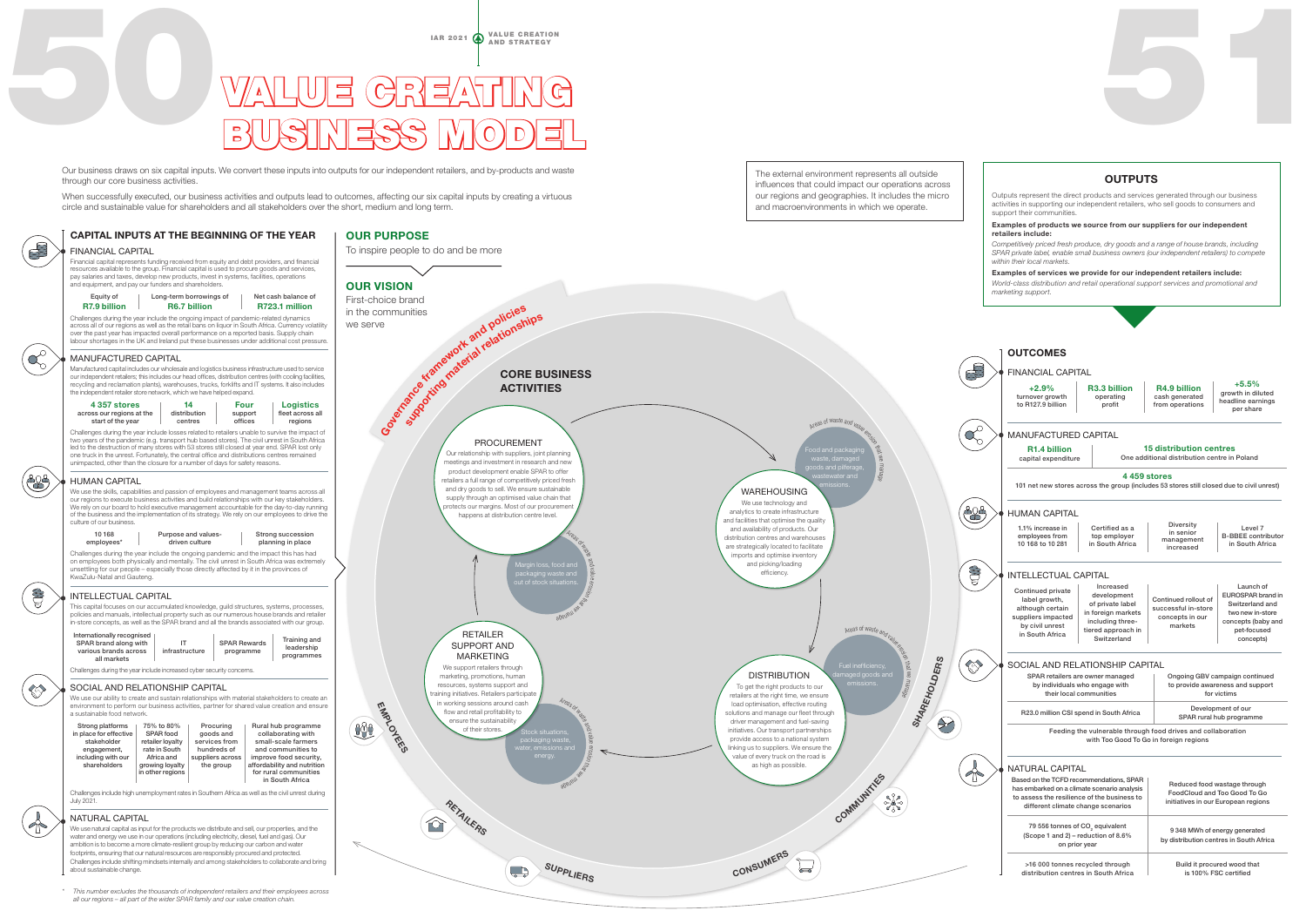IAR 2021  $\oint$  value creation

## EUSINESS M VALUE CREATING BUSINESS MODEL

Our business draws on six capital inputs. We convert these inputs into outputs for our independent retailers, and by-products and waste through our core business activities.

circle and sustainable value for shareholders and all stakeholders over the short, medium and long term.



*all our regions – all part of the wider SPAR family and our value creation chain.*

\$

 $\bigoplus$ 

**COLLECTION**